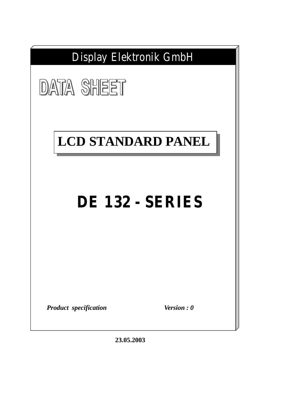

**23.05.2003**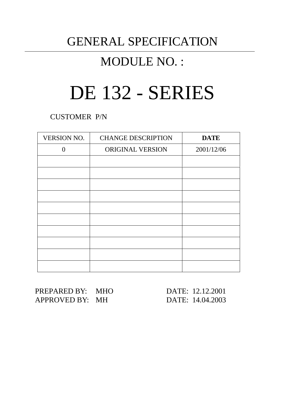# GENERAL SPECIFICATION

# MODULE NO. :

# DE 132 - SERIES

CUSTOMER P/N

| <b>VERSION NO.</b> | <b>CHANGE DESCRIPTION</b> | <b>DATE</b> |
|--------------------|---------------------------|-------------|
| $\Omega$           | ORIGINAL VERSION          | 2001/12/06  |
|                    |                           |             |
|                    |                           |             |
|                    |                           |             |
|                    |                           |             |
|                    |                           |             |
|                    |                           |             |
|                    |                           |             |
|                    |                           |             |
|                    |                           |             |
|                    |                           |             |

PREPARED BY: MHO DATE: 12.12.2001 APPROVED BY: MH DATE: 14.04.2003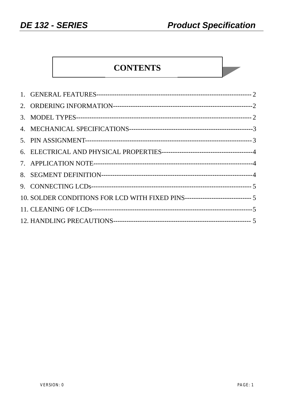**College** 

# **CONTENTS**

| 10. SOLDER CONDITIONS FOR LCD WITH FIXED PINS------------------------------ 5 |  |
|-------------------------------------------------------------------------------|--|
|                                                                               |  |
|                                                                               |  |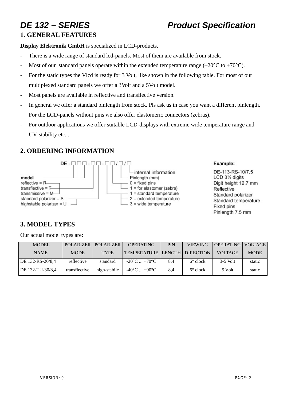# **1. GENERAL FEATURES**

**Display Elektronik GmbH** is specialized in LCD-products.

- There is a wide range of standard lcd-panels. Most of them are available from stock.
- Most of our standard panels operate within the extended temperature range (–20 $^{\circ}$ C to +70 $^{\circ}$ C).
- For the static types the Vlcd is ready for 3 Volt, like shown in the following table. For most of our multiplexed standard panels we offer a 3Volt and a 5Volt model.
- Most panels are available in reflective and transflective version.
- In general we offer a standard pinlength from stock. Pls ask us in case you want a different pinlength. For the LCD-panels without pins we also offer elastomeric connectors (zebras).
- For outdoor applications we offer suitable LCD-displays with extreme wide temperature range and UV-stability etc...

# **2. ORDERING INFORMATION**



#### Example:

DE-113-RS-10/7.5 LCD 31/2 digits Digit height 12.7 mm Reflective Standard polarizer Standard temperature Fixed pins Pinlength 7.5 mm

# **3. MODEL TYPES**

Our actual model types are:

| <b>MODEL</b>     |               | POLARIZER POLARIZER | <b>OPERATING</b>                | PIN | <b>VIEWING</b>    | OPERATING VOLTAGE |             |
|------------------|---------------|---------------------|---------------------------------|-----|-------------------|-------------------|-------------|
| <b>NAME</b>      | <b>MODE</b>   | <b>TYPE</b>         | TEMPERATURE LENGTH DIRECTION    |     |                   | VOLTAGE           | <b>MODE</b> |
| DE 132-RS-20/8,4 | reflective    | standard            | $-20^{\circ}$ C $+70^{\circ}$ C | 8.4 | $6^{\circ}$ clock | $3-5$ Volt        | static      |
| DE 132-TU-30/8.4 | transflective | high-stabile        | $-40^{\circ}$ C $+90^{\circ}$ C | 8.4 | $6^{\circ}$ clock | 5 Volt            | static      |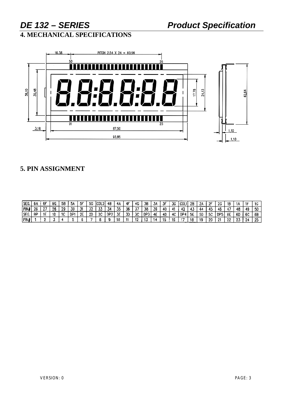# DE 132 - SERIES

**4. MECHANICAL SPECIFICATIONS** 



## 5. PIN ASSIGNMENT

| 'SEG. | 68 | ۶F | 6G | 58 | 5A  | 5F | 50 | ICDL2 | 48              | 4Α  | 4F        | 4G        | ЗB  | ЗA | JГ | ЗG  | COLI       | 2B | 21  | 2F         | -26        | 18 |           |    | $\sim$ |
|-------|----|----|----|----|-----|----|----|-------|-----------------|-----|-----------|-----------|-----|----|----|-----|------------|----|-----|------------|------------|----|-----------|----|--------|
| PIN   | 26 | דמ | 26 | 29 | 30  |    |    | w     | 34              | 35  | 36        | . .<br>J1 | 38  | 39 | 40 | 41  | 40         |    |     | -45        |            |    | 48        | 49 | 50     |
| ISEG. | θP |    | 10 | 10 | DP. | 2F | 20 | 20    | DP <sub>2</sub> | 75. | <b>TO</b> | 3С        | DP3 | 4Ε | 40 | 4C  | <b>DPA</b> | 5E | 5D. | - E P<br>ັ | DP5        | 6E | 60        | 6C | 6B     |
| ∣PIN≢ |    |    |    |    |     |    |    |       |                 | 10  |           | -40       |     |    |    | . . |            | 18 | -10 | -20        | <b>COM</b> | 22 | - 7<br>ZJ | 24 | -47.   |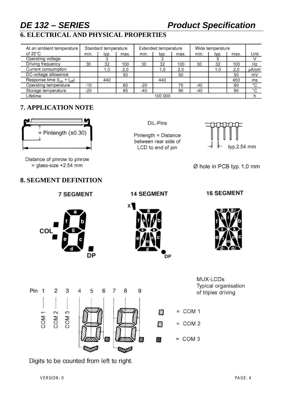# *DE 132 – SERIES Product Specification*

# **6. ELECTRICAL AND PHYSICAL PROPERTIES**

| At an ambient temperature          |         | Standard temperature |      |       | Extended temperature |      | Wide temperature |      |      |       |
|------------------------------------|---------|----------------------|------|-------|----------------------|------|------------------|------|------|-------|
| of $25^{\circ}$ C                  | min.    | typ.                 | max. | min.  | typ.                 | max. | min.             | typ. | max. | Unit  |
| Operating voltage                  |         |                      |      |       |                      |      |                  |      |      |       |
| Driving frequency                  | 30      | 32                   | 100  | 30    | 32                   | 100  | 30               | 32   | 100  | Hz    |
| Current consumption                |         | 1.0                  | 2,0  |       | 1,0                  | 2,0  |                  | 1.0  | 2,0  | µA/cm |
| DC-voltage allowance               |         |                      | 50   |       |                      | 50   |                  |      | 50   | mV    |
| Response time $(t_{on} + t_{off})$ |         | 440                  |      |       | 440                  |      |                  |      | 450  | ms    |
| Operating temperature              | $-10$   |                      | 60   | $-20$ |                      | 70   | $-40$            |      | 90   | °C    |
| Storage temperature                | $-20$   |                      | 65   | $-40$ |                      | 90   | $-40$            |      | 90   | ۰c    |
| Lifetime                           | 100 000 |                      |      |       |                      |      |                  |      |      |       |

# **7. APPLICATION NOTE**



Distance of pinrow to pinrow  $=$  qlass-size +2.54 mm

COL

# **8. SEGMENT DEFINITION**

**7 SEGMENT** 

**DP** 

DIL-Pins

Pinlength = Distance between rear side of LCD to end of pin



Ø hole in PCB typ. 1,0 mm

### **14 SEGMENT**

**DP** 

x١

#### **16 SEGMENT**





MUX-LCDs Typical organisation of triplex driving

Digits to be counted from left to right.